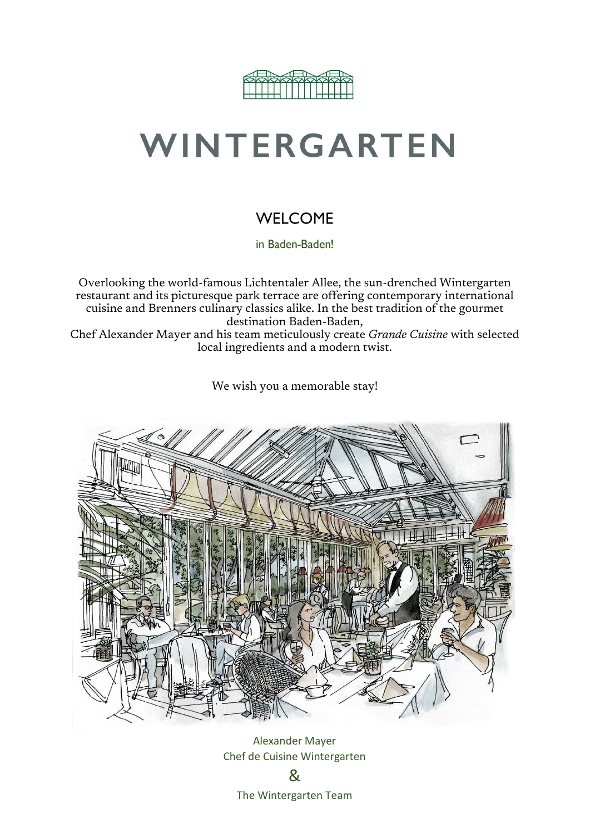

# WINTERGARTEN

### **WELCOME**

in Baden-Baden!

Overlooking the world-famous Lichtentaler Allee, the sun-drenched Wintergarten restaurant and its picturesque park terrace are offering contemporary international cuisine and Brenners culinary classics alike. In the best tradition of the gourmet destination Baden-Baden, Chef Alexander Mayer and his team meticulously create *Grande Cuisine* with selected

local ingredients and a modern twist.

We wish you a memorable stay!



Alexander Mayer Chef de Cuisine Wintergarten & The Wintergarten Team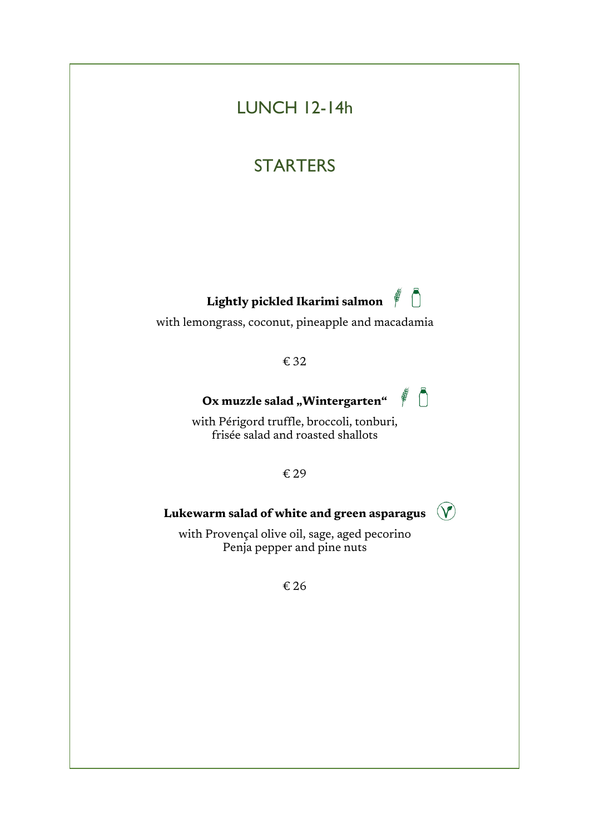# LUNCH 12-14h

### **STARTERS**

# **Lightly pickled Ikarimi salmon**

with lemongrass, coconut, pineapple and macadamia

€ 32

### Ox muzzle salad "Wintergarten"

 $\notin \bigcap$ 

 $\mathcal{V}$ 

with Périgord truffle, broccoli, tonburi, frisée salad and roasted shallots

€ 29

#### **Lukewarm salad of white and green asparagus**

with Provençal olive oil, sage, aged pecorino Penja pepper and pine nuts

€ 26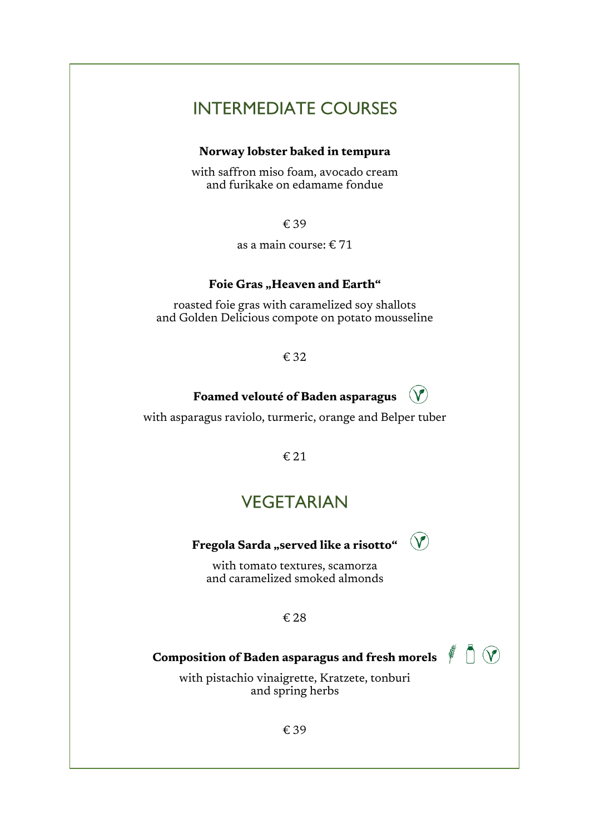### **INTERMEDIATE COURSES**

#### **Norway lobster baked in tempura**

with saffron miso foam, avocado cream and furikake on edamame fondue

€ 39

as a main course: € 71

### Foie Gras "Heaven and Earth"

roasted foie gras with caramelized soy shallots and Golden Delicious compote on potato mousseline

€ 32

### **Foamed velouté of Baden asparagus**

 $(\mathbf{V})$ 

with asparagus raviolo, turmeric, orange and Belper tuber

€ 21

### **VEGETARIAN**

## **Fregola Sarda** "served like a risotto"  $\qquad$

with tomato textures, scamorza and caramelized smoked almonds

#### € 28

**Composition of Baden asparagus and fresh morels**

with pistachio vinaigrette, Kratzete, tonburi and spring herbs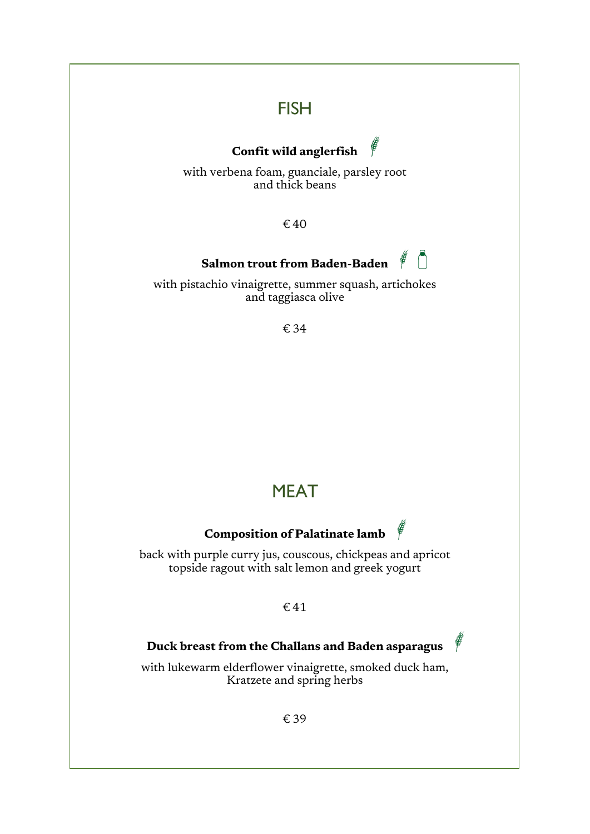### **FISH**

#### E **Confit wild anglerfish**

with verbena foam, guanciale, parsley root and thick beans

€ 40

#### Ō **Salmon trout from Baden-Baden** E

with pistachio vinaigrette, summer squash, artichokes and taggiasca olive

€ 34

### **MEAT**

### **Composition of Palatinate lamb**

back with purple curry jus, couscous, chickpeas and apricot topside ragout with salt lemon and greek yogurt

#### € 41

#### **Duck breast from the Challans and Baden asparagus**

with lukewarm elderflower vinaigrette, smoked duck ham, Kratzete and spring herbs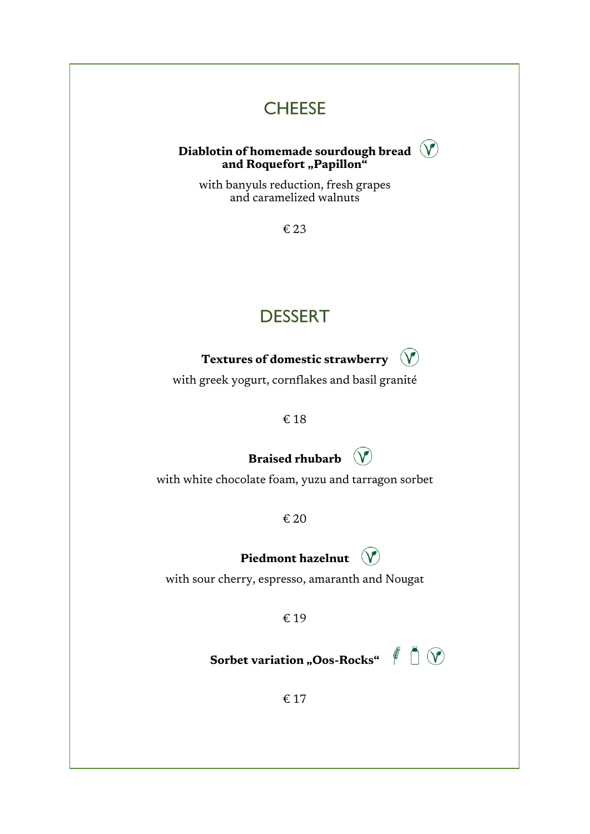### **CHEESE**



with banyuls reduction, fresh grapes and caramelized walnuts

€ 23

## **DESSERT**

#### **Textures of domestic strawberry**  $\mathcal{V}$

with greek yogurt, cornflakes and basil granité

€ 18

### **Braised rhubarb**

with white chocolate foam, yuzu and tarragon sorbet

€ 20

**Piedmont hazelnut**

with sour cherry, espresso, amaranth and Nougat

€ 19

**Sorbet variation "Oos-Rocks"** 

€ 17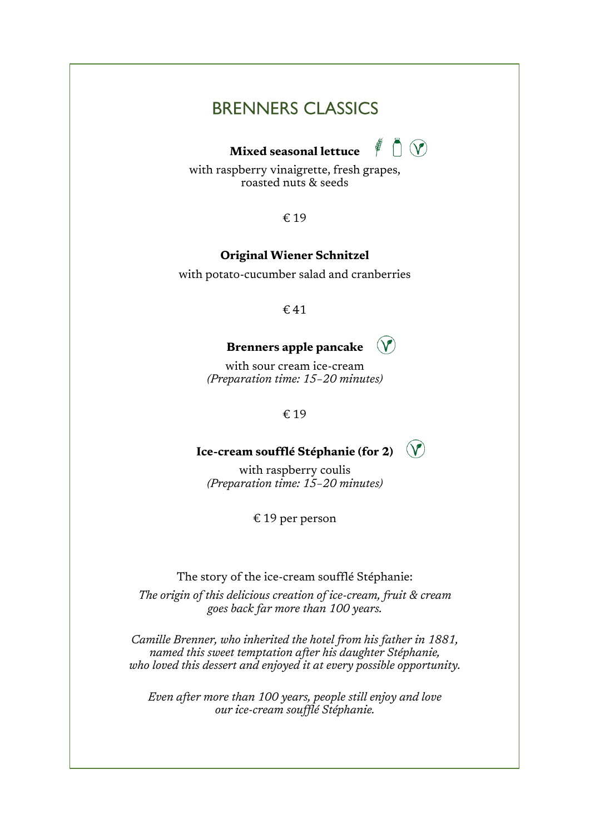### **BRENNERS CLASSICS**

# **Mixed seasonal lettuce**  $\left( \begin{array}{ccc} \bullet & \bullet \\ \bullet & \bullet \end{array} \right)$



with raspberry vinaigrette, fresh grapes, roasted nuts & seeds

€ 19

#### **Original Wiener Schnitzel**

with potato-cucumber salad and cranberries

€ 41

#### **Brenners apple pancake**  $\mathcal{V}$

with sour cream ice-cream *(Preparation time: 15–20 minutes)*

€ 19

#### $(\vee)$ **Ice-cream soufflé Stéphanie (for 2)**

with raspberry coulis *(Preparation time: 15–20 minutes)*

€ 19 per person

The story of the ice-cream soufflé Stéphanie:

*The origin of this delicious creation of ice-cream, fruit & cream goes back far more than 100 years.*

*Camille Brenner, who inherited the hotel from his father in 1881, named this sweet temptation after his daughter Stéphanie, who loved this dessert and enjoyed it at every possible opportunity.*

*Even after more than 100 years, people still enjoy and love our ice-cream soufflé Stéphanie.*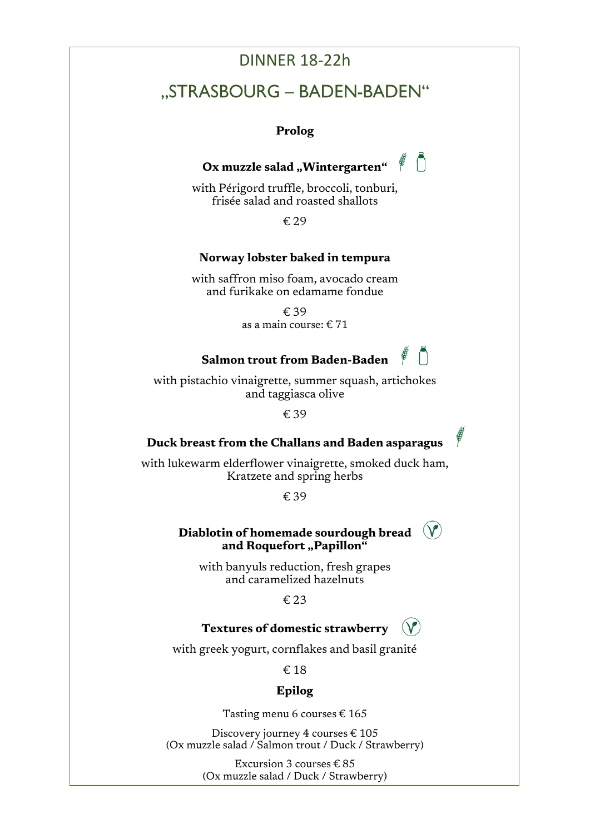### DINNER 18-22h

### "STRASBOURG - BADEN-BADEN"

#### **Prolog**

# **Ox muzzle salad "Wintergarten"**

with Périgord truffle, broccoli, tonburi, frisée salad and roasted shallots

€ 29

#### **Norway lobster baked in tempura**

with saffron miso foam, avocado cream and furikake on edamame fondue

> € 39 as a main course: € 71

### **Salmon trout from Baden-Baden**

with pistachio vinaigrette, summer squash, artichokes and taggiasca olive

€ 39

#### **Duck breast from the Challans and Baden asparagus**

with lukewarm elderflower vinaigrette, smoked duck ham, Kratzete and spring herbs

€ 39

#### **Diablotin of homemade sourdough bread** and Roquefort "Papillon"

with banyuls reduction, fresh grapes and caramelized hazelnuts

€ 23

#### **Textures of domestic strawberry**

with greek yogurt, cornflakes and basil granité

€ 18

#### **Epilog**

Tasting menu 6 courses € 165

Discovery journey 4 courses € 105 (Ox muzzle salad / Salmon trout / Duck / Strawberry)

> Excursion 3 courses  $\text{\textsterling} 85$ (Ox muzzle salad / Duck / Strawberry)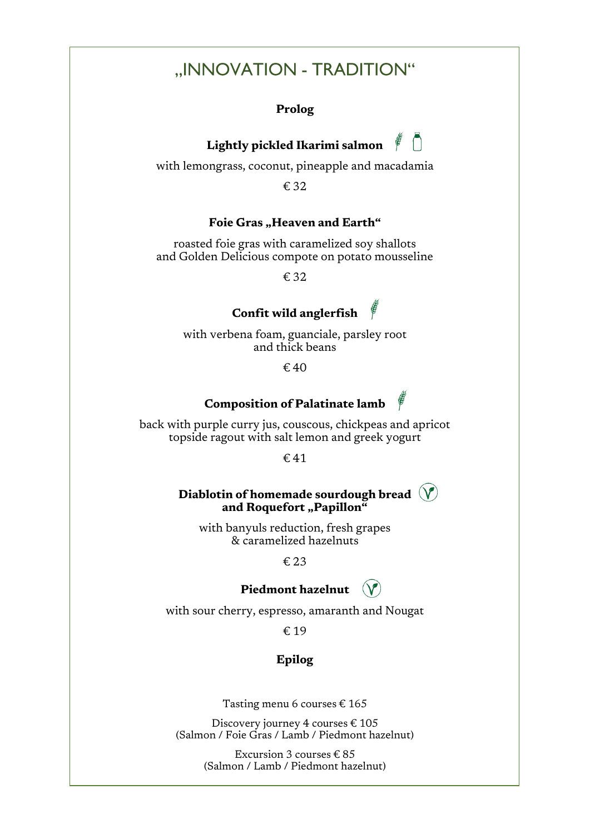### ..INNOVATION - TRADITION"

#### **Prolog**





with lemongrass, coconut, pineapple and macadamia

€ 32

#### Foie Gras "Heaven and Earth"

roasted foie gras with caramelized soy shallots and Golden Delicious compote on potato mousseline

€ 32

### **Confit wild anglerfish**

with verbena foam, guanciale, parsley root and thick beans

 $\epsilon$  40

#### **Composition of Palatinate lamb**

back with purple curry jus, couscous, chickpeas and apricot topside ragout with salt lemon and greek yogurt

€ 41

#### **Diablotin of homemade sourdough bread** and Roquefort "Papillon"

with banyuls reduction, fresh grapes & caramelized hazelnuts

€ 23

#### **Piedmont hazelnut**

with sour cherry, espresso, amaranth and Nougat

€ 19

#### **Epilog**

Tasting menu 6 courses  $\text{\ensuremath{\mathnormal{\in}}} 165$ 

Discovery journey 4 courses € 105 (Salmon / Foie Gras / Lamb / Piedmont hazelnut)

> Excursion 3 courses € 85 (Salmon / Lamb / Piedmont hazelnut)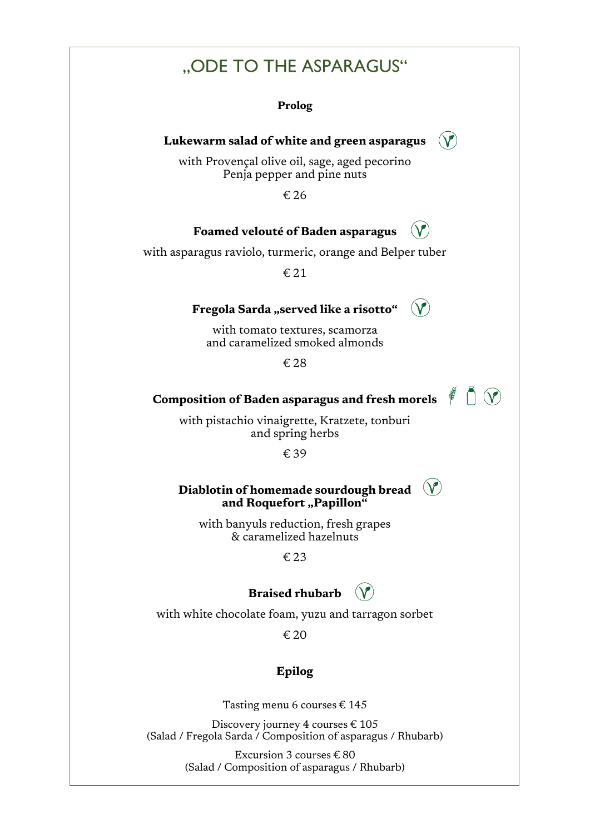### "ODE TO THE ASPARAGUS"

**Prolog**

#### **Lukewarm salad of white and green asparagus**

 $(\mathbf{V})$ 

 $(\mathbf{V})$ 

with Provençal olive oil, sage, aged pecorino Penja pepper and pine nuts

€ 26

#### **Foamed velouté of Baden asparagus**

with asparagus raviolo, turmeric, orange and Belper tuber

€ 21

#### **Fregola Sarda** "served like a risotto"

with tomato textures, scamorza and caramelized smoked almonds

€ 28

# **Composition of Baden asparagus and fresh morels**  $\left( \begin{matrix} 1 & 0 \\ 0 & 1 \end{matrix} \right)$

with pistachio vinaigrette, Kratzete, tonburi and spring herbs

€ 39

### **Diablotin of homemade sourdough bread** and Roquefort "Papillon"

with banyuls reduction, fresh grapes & caramelized hazelnuts

€ 23

### **Braised rhubarb**  $(V)$

with white chocolate foam, yuzu and tarragon sorbet

€ 20

### **Epilog**

Tasting menu 6 courses  $\text{\ensuremath{\mathnormal{\in}}} 145$ 

Discovery journey 4 courses € 105 (Salad / Fregola Sarda / Composition of asparagus / Rhubarb)

> Excursion 3 courses € 80 (Salad / Composition of asparagus / Rhubarb)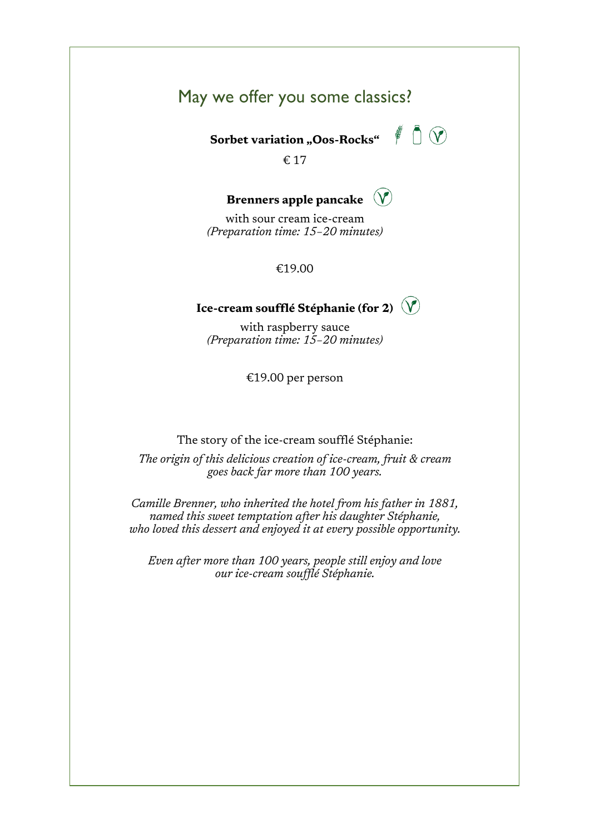### May we offer you some classics?

**Sorbet variation "Oos-Rocks"**



€ 17

#### **Brenners apple pancake**  $\mathcal{N}$

with sour cream ice-cream *(Preparation time: 15–20 minutes)*

€19.00

### **Ice-cream soufflé Stéphanie (for 2)**

with raspberry sauce *(Preparation time: 15–20 minutes)*

€19.00 per person

The story of the ice-cream soufflé Stéphanie:

*The origin of this delicious creation of ice-cream, fruit & cream goes back far more than 100 years.*

*Camille Brenner, who inherited the hotel from his father in 1881, named this sweet temptation after his daughter Stéphanie, who loved this dessert and enjoyed it at every possible opportunity.*

*Even after more than 100 years, people still enjoy and love our ice-cream soufflé Stéphanie.*